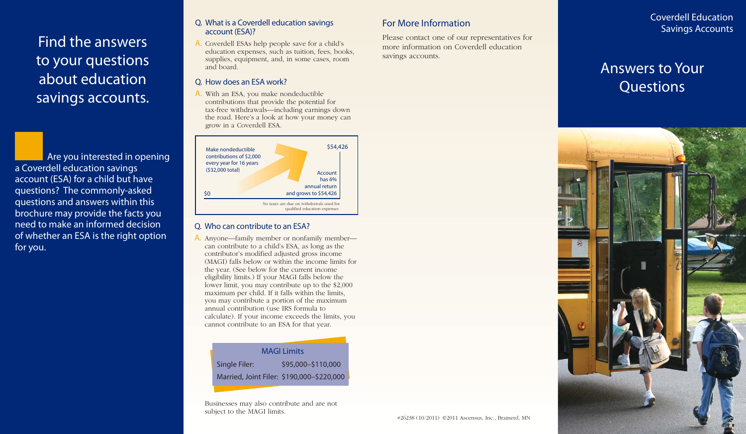Find the answers to your questions about education savings accounts.

Are you interested in opening a Coverdell education savings account (ESA) for a child but have questions? The commonly-asked questions and answers within this brochure may provide the facts you need to make an informed decision of whether an ESA is the right option for you.

#### Q. What is a Coverdell education savings account (ESA)?

A. Coverdell ESAs help people save for a child's education expenses, such as tuition, fees, books, supplies, equipment, and, in some cases, room and board.

#### Q. How does an ESA work?

A. With an ESA, you make nondeductible contributions that provide the potential for tax-free withdrawals—including earnings down the road. Here's a look at how your money can grow in a Coverdell ESA.



#### Q. Who can contribute to an ESA?

A. Anyone—family member or nonfamily member can contribute to a child's ESA, as long as the contributor's modified adjusted gross income (MAGI) falls below or within the income limits for the year. (See below for the current income eligibility limits.) If your MAGI falls below the lower limit, you may contribute up to the \$2,000 maximum per child. If it falls within the limits, you may contribute a portion of the maximum annual contribution (use IRS formula to calculate). If your income exceeds the limits, you cannot contribute to an ESA for that year.

#### MAGI Limits

Single Filer: \$95,000–\$110,000

Married, Joint Filer: \$190,000–\$220,000

Businesses may also contribute and are not subject to the MAGI limits.

## For More Information

Please contact one of our representatives for more information on Coverdell education savings accounts.

Coverdell Education Savings Accounts

# Answers to Your **Questions**